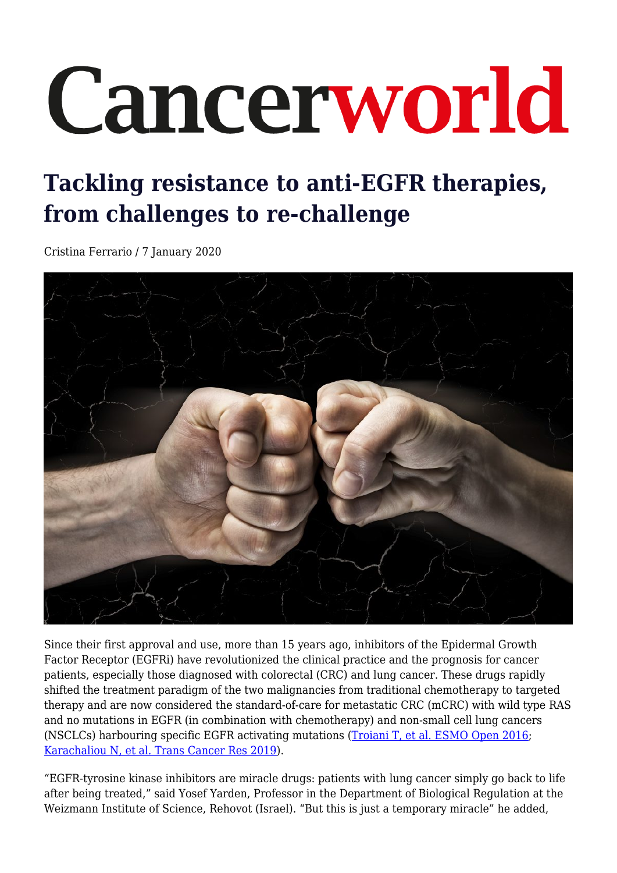# Cancerworld

# **Tackling resistance to anti-EGFR therapies, from challenges to re-challenge**

Cristina Ferrario / 7 January 2020



Since their first approval and use, more than 15 years ago, inhibitors of the Epidermal Growth Factor Receptor (EGFRi) have revolutionized the clinical practice and the prognosis for cancer patients, especially those diagnosed with colorectal (CRC) and lung cancer. These drugs rapidly shifted the treatment paradigm of the two malignancies from traditional chemotherapy to targeted therapy and are now considered the standard-of-care for metastatic CRC (mCRC) with wild type RAS and no mutations in EGFR (in combination with chemotherapy) and non-small cell lung cancers (NSCLCs) harbouring specific EGFR activating mutations [\(Troiani T, et al. ESMO Open 2016](https://esmoopen.bmj.com/content/1/5/e000088); [Karachaliou N, et al. Trans Cancer Res 2019\)](http://tcr.amegroups.com/article/view/24920/19756).

"EGFR-tyrosine kinase inhibitors are miracle drugs: patients with lung cancer simply go back to life after being treated," said Yosef Yarden, Professor in the Department of Biological Regulation at the Weizmann Institute of Science, Rehovot (Israel). "But this is just a temporary miracle" he added,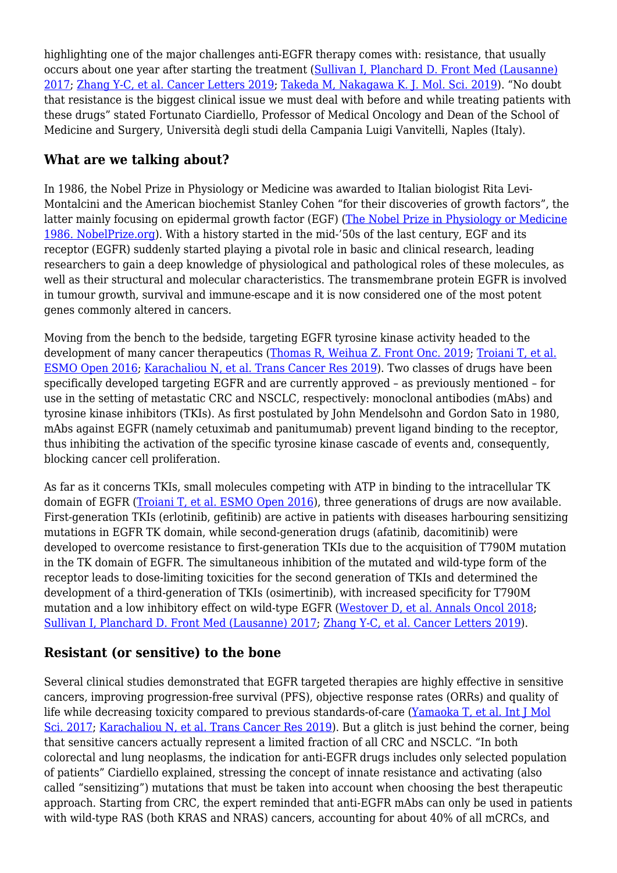highlighting one of the major challenges anti-EGFR therapy comes with: resistance, that usually occurs about one year after starting the treatment [\(Sullivan I, Planchard D. Front Med \(Lausanne\)](https://www.frontiersin.org/articles/10.3389/fmed.2016.00076/full) [2017;](https://www.frontiersin.org/articles/10.3389/fmed.2016.00076/full) [Zhang Y-C, et al. Cancer Letters 2019;](https://doi.org/10.1016/j.canlet.2019.05.044) [Takeda M, Nakagawa K. J. Mol. Sci. 2019\)](https://doi.org/10.3390/ijms20010146). "No doubt that resistance is the biggest clinical issue we must deal with before and while treating patients with these drugs" stated Fortunato Ciardiello, Professor of Medical Oncology and Dean of the School of Medicine and Surgery, Università degli studi della Campania Luigi Vanvitelli, Naples (Italy).

#### **What are we talking about?**

In 1986, the Nobel Prize in Physiology or Medicine was awarded to Italian biologist Rita Levi-Montalcini and the American biochemist Stanley Cohen "for their discoveries of growth factors", the latter mainly focusing on epidermal growth factor (EGF) ([The Nobel Prize in Physiology or Medicine](https://www.nobelprize.org/prizes/medicine/1986/summary/) [1986. NobelPrize.org\)](https://www.nobelprize.org/prizes/medicine/1986/summary/). With a history started in the mid-'50s of the last century, EGF and its receptor (EGFR) suddenly started playing a pivotal role in basic and clinical research, leading researchers to gain a deep knowledge of physiological and pathological roles of these molecules, as well as their structural and molecular characteristics. The transmembrane protein EGFR is involved in tumour growth, survival and immune-escape and it is now considered one of the most potent genes commonly altered in cancers.

Moving from the bench to the bedside, targeting EGFR tyrosine kinase activity headed to the development of many cancer therapeutics ([Thomas R, Weihua Z. Front Onc. 2019;](https://doi.org/10.3389/fonc.2019.00800) [Troiani T, et al.](https://esmoopen.bmj.com/content/1/5/e000088) [ESMO Open 2016;](https://esmoopen.bmj.com/content/1/5/e000088) [Karachaliou N, et al. Trans Cancer Res 2019\)](http://tcr.amegroups.com/article/view/24920/19756). Two classes of drugs have been specifically developed targeting EGFR and are currently approved – as previously mentioned – for use in the setting of metastatic CRC and NSCLC, respectively: monoclonal antibodies (mAbs) and tyrosine kinase inhibitors (TKIs). As first postulated by John Mendelsohn and Gordon Sato in 1980, mAbs against EGFR (namely cetuximab and panitumumab) prevent ligand binding to the receptor, thus inhibiting the activation of the specific tyrosine kinase cascade of events and, consequently, blocking cancer cell proliferation.

As far as it concerns TKIs, small molecules competing with ATP in binding to the intracellular TK domain of EGFR [\(Troiani T, et al. ESMO Open 2016\)](https://esmoopen.bmj.com/content/1/5/e000088), three generations of drugs are now available. First-generation TKIs (erlotinib, gefitinib) are active in patients with diseases harbouring sensitizing mutations in EGFR TK domain, while second-generation drugs (afatinib, dacomitinib) were developed to overcome resistance to first-generation TKIs due to the acquisition of T790M mutation in the TK domain of EGFR. The simultaneous inhibition of the mutated and wild-type form of the receptor leads to dose-limiting toxicities for the second generation of TKIs and determined the development of a third-generation of TKIs (osimertinib), with increased specificity for T790M mutation and a low inhibitory effect on wild-type EGFR [\(Westover D, et al. Annals Oncol 2018;](https://doi.org/10.1093/annonc/mdx703) [Sullivan I, Planchard D. Front Med \(Lausanne\) 2017;](https://www.frontiersin.org/articles/10.3389/fmed.2016.00076/full) [Zhang Y-C, et al. Cancer Letters 2019\)](https://doi.org/10.1016/j.canlet.2019.05.044).

## **Resistant (or sensitive) to the bone**

Several clinical studies demonstrated that EGFR targeted therapies are highly effective in sensitive cancers, improving progression-free survival (PFS), objective response rates (ORRs) and quality of life while decreasing toxicity compared to previous standards-of-care ([Yamaoka T, et al. Int J Mol](https://doi.org/10.3390/ijms18112420) [Sci. 2017](https://doi.org/10.3390/ijms18112420); [Karachaliou N, et al. Trans Cancer Res 2019](http://tcr.amegroups.com/article/view/24920/19756)). But a glitch is just behind the corner, being that sensitive cancers actually represent a limited fraction of all CRC and NSCLC. "In both colorectal and lung neoplasms, the indication for anti-EGFR drugs includes only selected population of patients" Ciardiello explained, stressing the concept of innate resistance and activating (also called "sensitizing") mutations that must be taken into account when choosing the best therapeutic approach. Starting from CRC, the expert reminded that anti-EGFR mAbs can only be used in patients with wild-type RAS (both KRAS and NRAS) cancers, accounting for about 40% of all mCRCs, and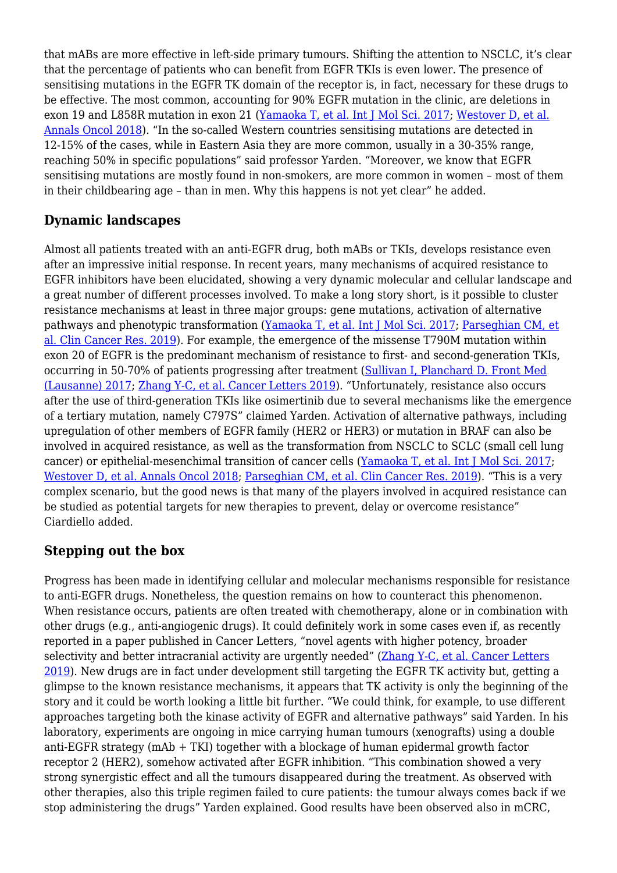that mABs are more effective in left-side primary tumours. Shifting the attention to NSCLC, it's clear that the percentage of patients who can benefit from EGFR TKIs is even lower. The presence of sensitising mutations in the EGFR TK domain of the receptor is, in fact, necessary for these drugs to be effective. The most common, accounting for 90% EGFR mutation in the clinic, are deletions in exon 19 and L858R mutation in exon 21 [\(Yamaoka T, et al. Int J Mol Sci. 2017](https://doi.org/10.3390/ijms18112420); [Westover D, et al.](https://doi.org/10.1093/annonc/mdx703) [Annals Oncol 2018](https://doi.org/10.1093/annonc/mdx703)). "In the so-called Western countries sensitising mutations are detected in 12-15% of the cases, while in Eastern Asia they are more common, usually in a 30-35% range, reaching 50% in specific populations" said professor Yarden. "Moreover, we know that EGFR sensitising mutations are mostly found in non-smokers, are more common in women – most of them in their childbearing age – than in men. Why this happens is not yet clear" he added.

#### **Dynamic landscapes**

Almost all patients treated with an anti-EGFR drug, both mABs or TKIs, develops resistance even after an impressive initial response. In recent years, many mechanisms of acquired resistance to EGFR inhibitors have been elucidated, showing a very dynamic molecular and cellular landscape and a great number of different processes involved. To make a long story short, is it possible to cluster resistance mechanisms at least in three major groups: gene mutations, activation of alternative pathways and phenotypic transformation ([Yamaoka T, et al. Int J Mol Sci. 2017;](https://doi.org/10.3390/ijms18112420) [Parseghian CM, et](https://clincancerres.aacrjournals.org/content/25/23/6899.long) [al. Clin Cancer Res. 2019](https://clincancerres.aacrjournals.org/content/25/23/6899.long)). For example, the emergence of the missense T790M mutation within exon 20 of EGFR is the predominant mechanism of resistance to first- and second-generation TKIs, occurring in 50-70% of patients progressing after treatment [\(Sullivan I, Planchard D. Front Med](https://www.frontiersin.org/articles/10.3389/fmed.2016.00076/full) [\(Lausanne\) 2017;](https://www.frontiersin.org/articles/10.3389/fmed.2016.00076/full) [Zhang Y-C, et al. Cancer Letters 2019\)](https://doi.org/10.1016/j.canlet.2019.05.044). "Unfortunately, resistance also occurs after the use of third-generation TKIs like osimertinib due to several mechanisms like the emergence of a tertiary mutation, namely C797S" claimed Yarden. Activation of alternative pathways, including upregulation of other members of EGFR family (HER2 or HER3) or mutation in BRAF can also be involved in acquired resistance, as well as the transformation from NSCLC to SCLC (small cell lung cancer) or epithelial-mesenchimal transition of cancer cells [\(Yamaoka T, et al. Int J Mol Sci. 2017](https://doi.org/10.3390/ijms18112420); [Westover D, et al. Annals Oncol 2018](https://doi.org/10.1093/annonc/mdx703); [Parseghian CM, et al. Clin Cancer Res. 2019\)](https://clincancerres.aacrjournals.org/content/25/23/6899.long). "This is a very complex scenario, but the good news is that many of the players involved in acquired resistance can be studied as potential targets for new therapies to prevent, delay or overcome resistance" Ciardiello added.

#### **Stepping out the box**

Progress has been made in identifying cellular and molecular mechanisms responsible for resistance to anti-EGFR drugs. Nonetheless, the question remains on how to counteract this phenomenon. When resistance occurs, patients are often treated with chemotherapy, alone or in combination with other drugs (e.g., anti-angiogenic drugs). It could definitely work in some cases even if, as recently reported in a paper published in Cancer Letters, "novel agents with higher potency, broader selectivity and better intracranial activity are urgently needed" [\(Zhang Y-C, et al. Cancer Letters](https://doi.org/10.1016/j.canlet.2019.05.044) [2019\)](https://doi.org/10.1016/j.canlet.2019.05.044). New drugs are in fact under development still targeting the EGFR TK activity but, getting a glimpse to the known resistance mechanisms, it appears that TK activity is only the beginning of the story and it could be worth looking a little bit further. "We could think, for example, to use different approaches targeting both the kinase activity of EGFR and alternative pathways" said Yarden. In his laboratory, experiments are ongoing in mice carrying human tumours (xenografts) using a double anti-EGFR strategy (mAb + TKI) together with a blockage of human epidermal growth factor receptor 2 (HER2), somehow activated after EGFR inhibition. "This combination showed a very strong synergistic effect and all the tumours disappeared during the treatment. As observed with other therapies, also this triple regimen failed to cure patients: the tumour always comes back if we stop administering the drugs" Yarden explained. Good results have been observed also in mCRC,